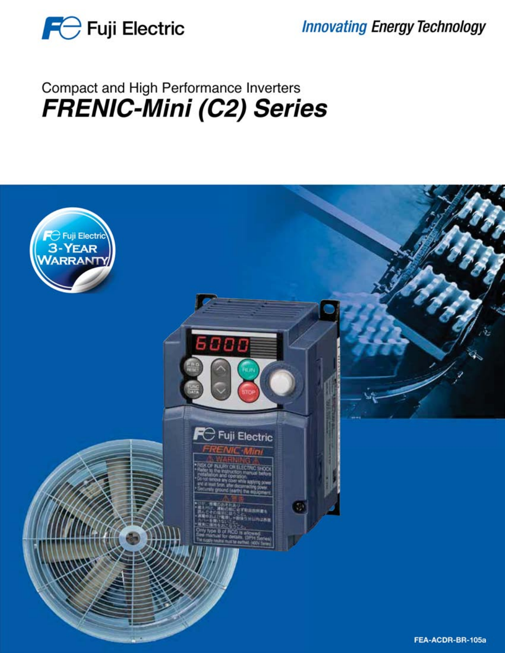

**Innovating Energy Technology** 

# Compact and High Performance Inverters FRENIC-Mini (C2) Series

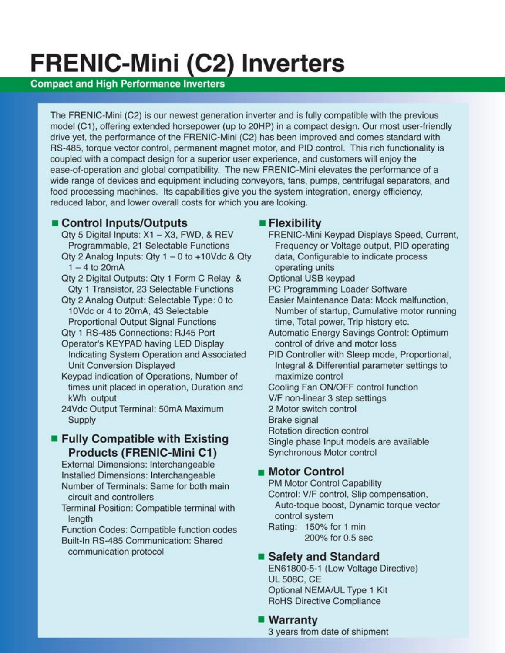# **FRENIC-Mini (C2) Inverters**

**Compact and High Performance Inverters** 

The FRENIC-Mini (C2) is our newest generation inverter and is fully compatible with the previous model (C1), offering extended horsepower (up to 20HP) in a compact design. Our most user-friendly drive yet, the performance of the FRENIC-Mini (C2) has been improved and comes standard with RS-485, torque vector control, permanent magnet motor, and PID control. This rich functionality is coupled with a compact design for a superior user experience, and customers will enjoy the ease-of-operation and global compatibility. The new FRENIC-Mini elevates the performance of a wide range of devices and equipment including conveyors, fans, pumps, centrifugal separators, and food processing machines. Its capabilities give you the system integration, energy efficiency, reduced labor, and lower overall costs for which you are looking.

#### ■ Control Inputs/Outputs

- Qty 5 Digital Inputs: X1 X3, FWD, & REV Programmable, 21 Selectable Functions Qty 2 Analog Inputs: Qty  $1 - 0$  to +10Vdc & Qty  $1 - 4$  to 20mA
- Qty 2 Digital Outputs: Qty 1 Form C Relay & Qty 1 Transistor, 23 Selectable Functions
- Qty 2 Analog Output: Selectable Type: 0 to 10Vdc or 4 to 20mA, 43 Selectable **Proportional Output Signal Functions**
- Qty 1 RS-485 Connections: RJ45 Port Operator's KEYPAD having LED Display
- Indicating System Operation and Associated **Unit Conversion Displayed**
- Keypad indication of Operations, Number of times unit placed in operation, Duration and kWh output
- 24Vdc Output Terminal: 50mA Maximum Supply

#### **Existing** Fully Compatible with Existing **Products (FRENIC-Mini C1)**

External Dimensions: Interchangeable Installed Dimensions: Interchangeable Number of Terminals: Same for both main circuit and controllers

Terminal Position: Compatible terminal with length

Function Codes: Compatible function codes Built-In RS-485 Communication: Shared communication protocol

#### ■ Flexibility

FRENIC-Mini Keypad Displays Speed, Current, Frequency or Voltage output, PID operating data, Configurable to indicate process operating units

Optional USB keypad

PC Programming Loader Software

- Easier Maintenance Data: Mock malfunction, Number of startup, Cumulative motor running time, Total power, Trip history etc.
- Automatic Energy Savings Control: Optimum control of drive and motor loss
- PID Controller with Sleep mode, Proportional, Integral & Differential parameter settings to maximize control
- Cooling Fan ON/OFF control function
- V/F non-linear 3 step settings
- 2 Motor switch control
- **Brake signal**
- Rotation direction control
- Single phase Input models are available Synchronous Motor control

#### **Motor Control**

PM Motor Control Capability Control: V/F control, Slip compensation, Auto-toque boost, Dynamic torque vector control system Rating: 150% for 1 min

200% for 0.5 sec

#### ■ Safety and Standard

EN61800-5-1 (Low Voltage Directive) **UL 508C, CE** Optional NEMA/UL Type 1 Kit **RoHS Directive Compliance** 

#### ■ Warranty

3 years from date of shipment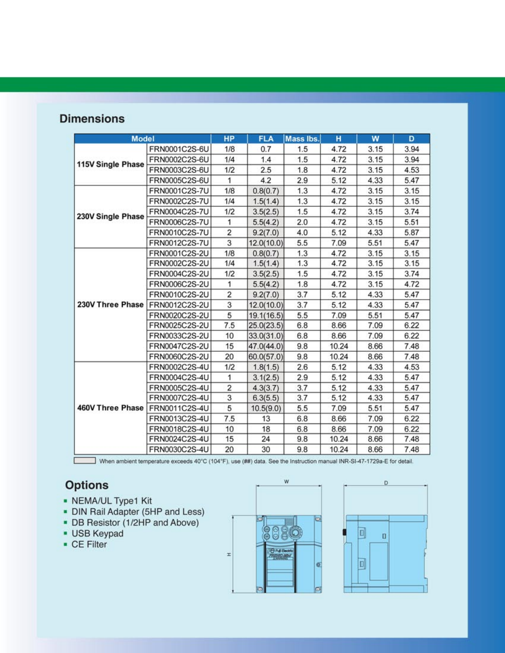## **Dimensions**

| <b>Model</b>      |               | <b>HP</b>      | <b>FLA</b> | Mass Ibs. | н     | W    | D    |
|-------------------|---------------|----------------|------------|-----------|-------|------|------|
| 115V Single Phase | FRN0001C2S-6U | 1/8            | 0.7        | 1.5       | 4.72  | 3.15 | 3.94 |
|                   | FRN0002C2S-6U | 1/4            | 1.4        | 1.5       | 4.72  | 3.15 | 3.94 |
|                   | FRN0003C2S-6U | 1/2            | 2.5        | 1.8       | 4.72  | 3.15 | 4.53 |
|                   | FRN0005C2S-6U | 1              | 4.2        | 2.9       | 5.12  | 4.33 | 5.47 |
| 230V Single Phase | FRN0001C2S-7U | 1/8            | 0.8(0.7)   | 1.3       | 4.72  | 3.15 | 3.15 |
|                   | FRN0002C2S-7U | 1/4            | 1.5(1.4)   | 1.3       | 4.72  | 3.15 | 3.15 |
|                   | FRN0004C2S-7U | 1/2            | 3.5(2.5)   | 1.5       | 4.72  | 3.15 | 3.74 |
|                   | FRN0006C2S-7U | 1              | 5.5(4.2)   | 2.0       | 4.72  | 3.15 | 5.51 |
|                   | FRN0010C2S-7U | $\overline{2}$ | 9.2(7.0)   | 4.0       | 5.12  | 4.33 | 5.87 |
|                   | FRN0012C2S-7U | 3              | 12.0(10.0) | 5.5       | 7.09  | 5.51 | 5.47 |
| 230V Three Phase  | FRN0001C2S-2U | 1/8            | 0.8(0.7)   | 1.3       | 4.72  | 3.15 | 3.15 |
|                   | FRN0002C2S-2U | 1/4            | 1.5(1.4)   | 1.3       | 4.72  | 3.15 | 3.15 |
|                   | FRN0004C2S-2U | 1/2            | 3.5(2.5)   | 1.5       | 4.72  | 3.15 | 3.74 |
|                   | FRN0006C2S-2U | 1              | 5.5(4.2)   | 1.8       | 4.72  | 3.15 | 4.72 |
|                   | FRN0010C2S-2U | $\overline{2}$ | 9.2(7.0)   | 3.7       | 5.12  | 4.33 | 5.47 |
|                   | FRN0012C2S-2U | 3              | 12.0(10.0) | 3.7       | 5.12  | 4.33 | 5.47 |
|                   | FRN0020C2S-2U | 5              | 19.1(16.5) | 5.5       | 7.09  | 5.51 | 5.47 |
|                   | FRN0025C2S-2U | 7.5            | 25.0(23.5) | 6.8       | 8.66  | 7.09 | 6.22 |
|                   | FRN0033C2S-2U | 10             | 33.0(31.0) | 6.8       | 8.66  | 7.09 | 6.22 |
|                   | FRN0047C2S-2U | 15             | 47.0(44.0) | 9.8       | 10.24 | 8.66 | 7.48 |
|                   | FRN0060C2S-2U | 20             | 60.0(57.0) | 9.8       | 10.24 | 8.66 | 7.48 |
| 460V Three Phase  | FRN0002C2S-4U | 1/2            | 1.8(1.5)   | 2.6       | 5.12  | 4.33 | 4.53 |
|                   | FRN0004C2S-4U | 1              | 3.1(2.5)   | 2.9       | 5.12  | 4.33 | 5.47 |
|                   | FRN0005C2S-4U | 2              | 4.3(3.7)   | 3.7       | 5.12  | 4.33 | 5.47 |
|                   | FRN0007C2S-4U | 3              | 6.3(5.5)   | 3.7       | 5.12  | 4.33 | 5.47 |
|                   | FRN0011C2S-4U | 5              | 10.5(9.0)  | 5.5       | 7.09  | 5.51 | 5.47 |
|                   | FRN0013C2S-4U | 7.5            | 13         | 6.8       | 8.66  | 7.09 | 6.22 |
|                   | FRN0018C2S-4U | 10             | 18         | 6.8       | 8.66  | 7.09 | 6.22 |
|                   | FRN0024C2S-4U | 15             | 24         | 9.8       | 10.24 | 8.66 | 7.48 |
|                   | FRN0030C2S-4U | 20             | 30         | 9.8       | 10.24 | 8.66 | 7.48 |

When ambient temperature exceeds 40°C (104°F), use (##) data. See the Instruction manual INR-SI-47-1729a-E for detail.

### Options

- NEMA/UL Type1 Kit
- · DIN Rail Adapter (5HP and Less)
- DB Resistor (1/2HP and Above)
- · USB Keypad
- CE Filter